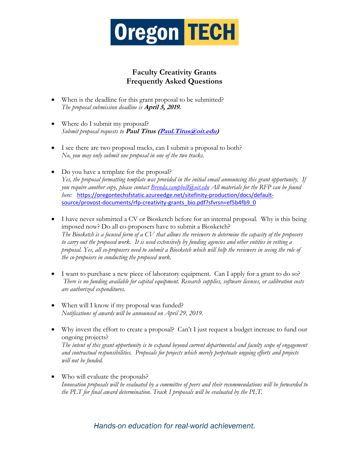

## **Faculty Creativity Grants Frequently Asked Questions**

- When is the deadline for this grant proposal to be submitted? *The proposal submission deadline is* **April 5, 2019.**
- Where do I submit my proposal? *Submit proposal requests to* **Paul Titus [\(Paul.Titus@oit.edu\)](mailto:Paul.Titus@oit.edu)**
- I see there are two proposal tracks, can I submit a proposal to both? *No, you may only submit one proposal in one of the two tracks.*
- Do you have a template for the proposal? *Yes, the proposal formatting template was provided in the initial email announcing this grant opportunity. If you require another copy, please contact [Brenda.campbell@oit.edu](mailto:Brenda.campbell@oit.edu) All materials for the RFP can be found here:* [https://oregontechsfstatic.azureedge.net/sitefinity-production/docs/default](https://oregontechsfstatic.azureedge.net/sitefinity-production/docs/default-source/provost-documents/rfp-creativity-grants_bio.pdf?sfvrsn=ef5b4fb9_0)[source/provost-documents/rfp-creativity-grants\\_bio.pdf?sfvrsn=ef5b4fb9\\_0](https://oregontechsfstatic.azureedge.net/sitefinity-production/docs/default-source/provost-documents/rfp-creativity-grants_bio.pdf?sfvrsn=ef5b4fb9_0)
- I have never submitted a CV or Biosketch before for an internal proposal. Why is this being imposed now? Do all co-proposers have to submit a Biosketch? *The Biosketch is a focused form of a CV that allows the reviewers to determine the capacity of the proposers to carry out the proposed work. It is used extensively by funding agencies and other entities in vetting a proposal. Yes, all co-proposers need to submit a Biosketch which will help the reviewers in seeing the role of the co-proposers in conducting the proposed work.*
- I want to purchase a new piece of laboratory equipment. Can I apply for a grant to do so? *There is no funding available for capital equipment. Research supplies, software licenses, or calibration costs are authorized expenditures.*
- When will I know if my proposal was funded? *Notifications of awards will be announced on April 29, 2019.*
- Why invest the effort to create a proposal? Can't I just request a budget increase to fund our ongoing projects? *The intent of this grant opportunity is to expand beyond current departmental and faculty scope of engagement and contractual responsibilities. Proposals for projects which merely perpetuate ongoing efforts and projects will not be funded.*
- Who will evaluate the proposals? *Innovation proposals will be evaluated by a committee of peers and their recommendations will be forwarded to the PLT for final award determination. Track I proposals will be evaluated by the PLT.*